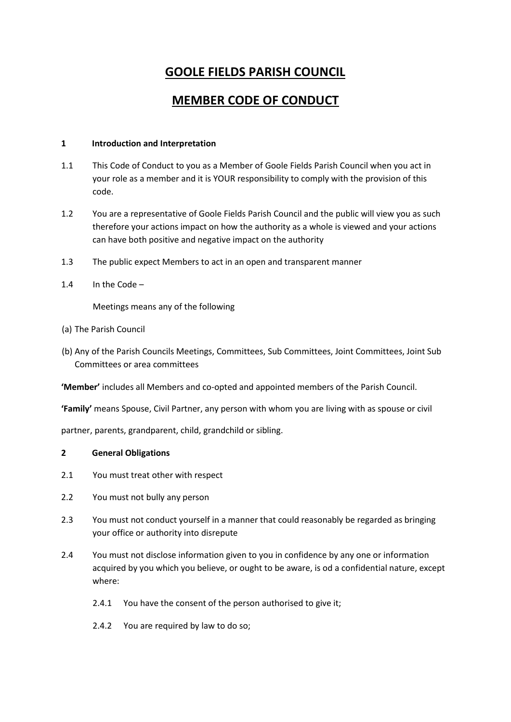# **GOOLE FIELDS PARISH COUNCIL**

# **MEMBER CODE OF CONDUCT**

## **1 Introduction and Interpretation**

- 1.1 This Code of Conduct to you as a Member of Goole Fields Parish Council when you act in your role as a member and it is YOUR responsibility to comply with the provision of this code.
- 1.2 You are a representative of Goole Fields Parish Council and the public will view you as such therefore your actions impact on how the authority as a whole is viewed and your actions can have both positive and negative impact on the authority
- 1.3 The public expect Members to act in an open and transparent manner
- 1.4 In the Code –

Meetings means any of the following

- (a) The Parish Council
- (b) Any of the Parish Councils Meetings, Committees, Sub Committees, Joint Committees, Joint Sub Committees or area committees

**'Member'** includes all Members and co-opted and appointed members of the Parish Council.

**'Family'** means Spouse, Civil Partner, any person with whom you are living with as spouse or civil

partner, parents, grandparent, child, grandchild or sibling.

#### **2 General Obligations**

- 2.1 You must treat other with respect
- 2.2 You must not bully any person
- 2.3 You must not conduct yourself in a manner that could reasonably be regarded as bringing your office or authority into disrepute
- 2.4 You must not disclose information given to you in confidence by any one or information acquired by you which you believe, or ought to be aware, is od a confidential nature, except where:
	- 2.4.1 You have the consent of the person authorised to give it;
	- 2.4.2 You are required by law to do so;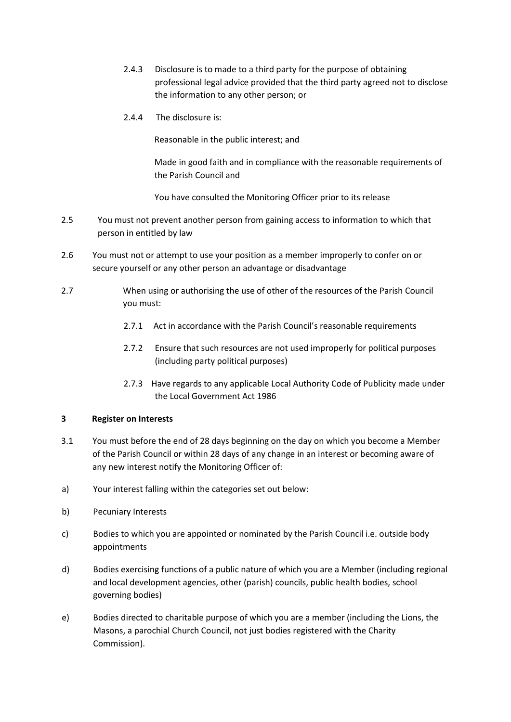- 2.4.3 Disclosure is to made to a third party for the purpose of obtaining professional legal advice provided that the third party agreed not to disclose the information to any other person; or
- 2.4.4 The disclosure is:

Reasonable in the public interest; and

Made in good faith and in compliance with the reasonable requirements of the Parish Council and

You have consulted the Monitoring Officer prior to its release

- 2.5 You must not prevent another person from gaining access to information to which that person in entitled by law
- 2.6 You must not or attempt to use your position as a member improperly to confer on or secure yourself or any other person an advantage or disadvantage
- 2.7 When using or authorising the use of other of the resources of the Parish Council you must:
	- 2.7.1 Act in accordance with the Parish Council's reasonable requirements
	- 2.7.2 Ensure that such resources are not used improperly for political purposes (including party political purposes)
	- 2.7.3 Have regards to any applicable Local Authority Code of Publicity made under the Local Government Act 1986

#### **3 Register on Interests**

- 3.1 You must before the end of 28 days beginning on the day on which you become a Member of the Parish Council or within 28 days of any change in an interest or becoming aware of any new interest notify the Monitoring Officer of:
- a) Your interest falling within the categories set out below:
- b) Pecuniary Interests
- c) Bodies to which you are appointed or nominated by the Parish Council i.e. outside body appointments
- d) Bodies exercising functions of a public nature of which you are a Member (including regional and local development agencies, other (parish) councils, public health bodies, school governing bodies)
- e) Bodies directed to charitable purpose of which you are a member (including the Lions, the Masons, a parochial Church Council, not just bodies registered with the Charity Commission).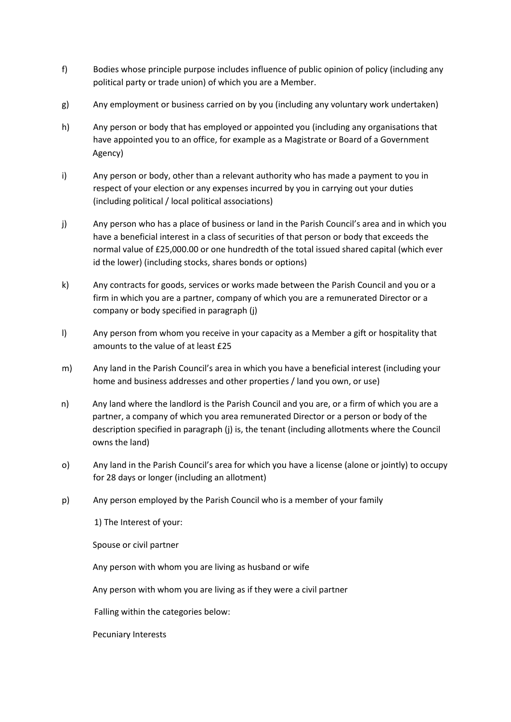- f) Bodies whose principle purpose includes influence of public opinion of policy (including any political party or trade union) of which you are a Member.
- g) Any employment or business carried on by you (including any voluntary work undertaken)
- h) Any person or body that has employed or appointed you (including any organisations that have appointed you to an office, for example as a Magistrate or Board of a Government Agency)
- i) Any person or body, other than a relevant authority who has made a payment to you in respect of your election or any expenses incurred by you in carrying out your duties (including political / local political associations)
- j) Any person who has a place of business or land in the Parish Council's area and in which you have a beneficial interest in a class of securities of that person or body that exceeds the normal value of £25,000.00 or one hundredth of the total issued shared capital (which ever id the lower) (including stocks, shares bonds or options)
- k) Any contracts for goods, services or works made between the Parish Council and you or a firm in which you are a partner, company of which you are a remunerated Director or a company or body specified in paragraph (j)
- l) Any person from whom you receive in your capacity as a Member a gift or hospitality that amounts to the value of at least £25
- m) Any land in the Parish Council's area in which you have a beneficial interest (including your home and business addresses and other properties / land you own, or use)
- n) Any land where the landlord is the Parish Council and you are, or a firm of which you are a partner, a company of which you area remunerated Director or a person or body of the description specified in paragraph (j) is, the tenant (including allotments where the Council owns the land)
- o) Any land in the Parish Council's area for which you have a license (alone or jointly) to occupy for 28 days or longer (including an allotment)
- p) Any person employed by the Parish Council who is a member of your family

1) The Interest of your:

Spouse or civil partner

Any person with whom you are living as husband or wife

Any person with whom you are living as if they were a civil partner

Falling within the categories below:

Pecuniary Interests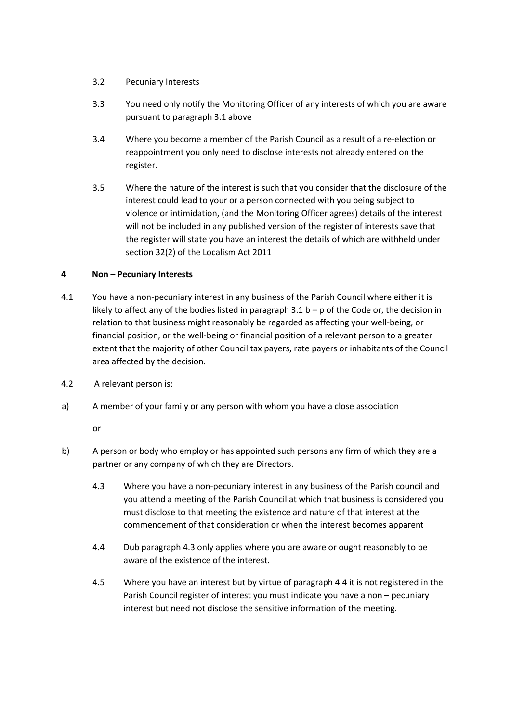- 3.2 Pecuniary Interests
- 3.3 You need only notify the Monitoring Officer of any interests of which you are aware pursuant to paragraph 3.1 above
- 3.4 Where you become a member of the Parish Council as a result of a re-election or reappointment you only need to disclose interests not already entered on the register.
- 3.5 Where the nature of the interest is such that you consider that the disclosure of the interest could lead to your or a person connected with you being subject to violence or intimidation, (and the Monitoring Officer agrees) details of the interest will not be included in any published version of the register of interests save that the register will state you have an interest the details of which are withheld under section 32(2) of the Localism Act 2011

### **4 Non – Pecuniary Interests**

- 4.1 You have a non-pecuniary interest in any business of the Parish Council where either it is likely to affect any of the bodies listed in paragraph  $3.1 b - p$  of the Code or, the decision in relation to that business might reasonably be regarded as affecting your well-being, or financial position, or the well-being or financial position of a relevant person to a greater extent that the majority of other Council tax payers, rate payers or inhabitants of the Council area affected by the decision.
- 4.2 A relevant person is:
- a) A member of your family or any person with whom you have a close association

or

- b) A person or body who employ or has appointed such persons any firm of which they are a partner or any company of which they are Directors.
	- 4.3 Where you have a non-pecuniary interest in any business of the Parish council and you attend a meeting of the Parish Council at which that business is considered you must disclose to that meeting the existence and nature of that interest at the commencement of that consideration or when the interest becomes apparent
	- 4.4 Dub paragraph 4.3 only applies where you are aware or ought reasonably to be aware of the existence of the interest.
	- 4.5 Where you have an interest but by virtue of paragraph 4.4 it is not registered in the Parish Council register of interest you must indicate you have a non – pecuniary interest but need not disclose the sensitive information of the meeting.